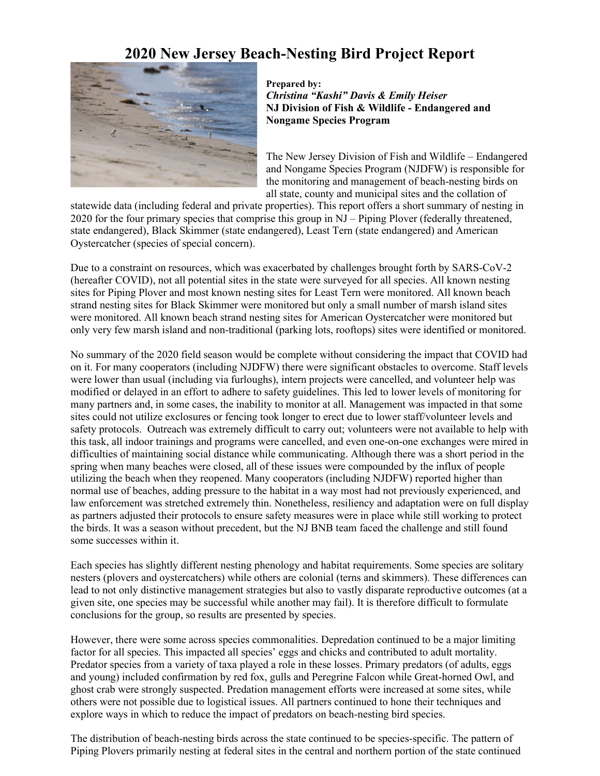# **2020 New Jersey Beach-Nesting Bird Project Report**



### **Prepared by:**  *Christina "Kashi" Davis & Emily Heiser* **NJ Division of Fish & Wildlife - Endangered and Nongame Species Program**

The New Jersey Division of Fish and Wildlife – Endangered and Nongame Species Program (NJDFW) is responsible for the monitoring and management of beach-nesting birds on all state, county and municipal sites and the collation of

statewide data (including federal and private properties). This report offers a short summary of nesting in 2020 for the four primary species that comprise this group in NJ – Piping Plover (federally threatened, state endangered), Black Skimmer (state endangered), Least Tern (state endangered) and American Oystercatcher (species of special concern).

Due to a constraint on resources, which was exacerbated by challenges brought forth by SARS-CoV-2 (hereafter COVID), not all potential sites in the state were surveyed for all species. All known nesting sites for Piping Plover and most known nesting sites for Least Tern were monitored. All known beach strand nesting sites for Black Skimmer were monitored but only a small number of marsh island sites were monitored. All known beach strand nesting sites for American Oystercatcher were monitored but only very few marsh island and non-traditional (parking lots, rooftops) sites were identified or monitored.

No summary of the 2020 field season would be complete without considering the impact that COVID had on it. For many cooperators (including NJDFW) there were significant obstacles to overcome. Staff levels were lower than usual (including via furloughs), intern projects were cancelled, and volunteer help was modified or delayed in an effort to adhere to safety guidelines. This led to lower levels of monitoring for many partners and, in some cases, the inability to monitor at all. Management was impacted in that some sites could not utilize exclosures or fencing took longer to erect due to lower staff/volunteer levels and safety protocols. Outreach was extremely difficult to carry out; volunteers were not available to help with this task, all indoor trainings and programs were cancelled, and even one-on-one exchanges were mired in difficulties of maintaining social distance while communicating. Although there was a short period in the spring when many beaches were closed, all of these issues were compounded by the influx of people utilizing the beach when they reopened. Many cooperators (including NJDFW) reported higher than normal use of beaches, adding pressure to the habitat in a way most had not previously experienced, and law enforcement was stretched extremely thin. Nonetheless, resiliency and adaptation were on full display as partners adjusted their protocols to ensure safety measures were in place while still working to protect the birds. It was a season without precedent, but the NJ BNB team faced the challenge and still found some successes within it.

Each species has slightly different nesting phenology and habitat requirements. Some species are solitary nesters (plovers and oystercatchers) while others are colonial (terns and skimmers). These differences can lead to not only distinctive management strategies but also to vastly disparate reproductive outcomes (at a given site, one species may be successful while another may fail). It is therefore difficult to formulate conclusions for the group, so results are presented by species.

However, there were some across species commonalities. Depredation continued to be a major limiting factor for all species. This impacted all species' eggs and chicks and contributed to adult mortality. Predator species from a variety of taxa played a role in these losses. Primary predators (of adults, eggs and young) included confirmation by red fox, gulls and Peregrine Falcon while Great-horned Owl, and ghost crab were strongly suspected. Predation management efforts were increased at some sites, while others were not possible due to logistical issues. All partners continued to hone their techniques and explore ways in which to reduce the impact of predators on beach-nesting bird species.

The distribution of beach-nesting birds across the state continued to be species-specific. The pattern of Piping Plovers primarily nesting at federal sites in the central and northern portion of the state continued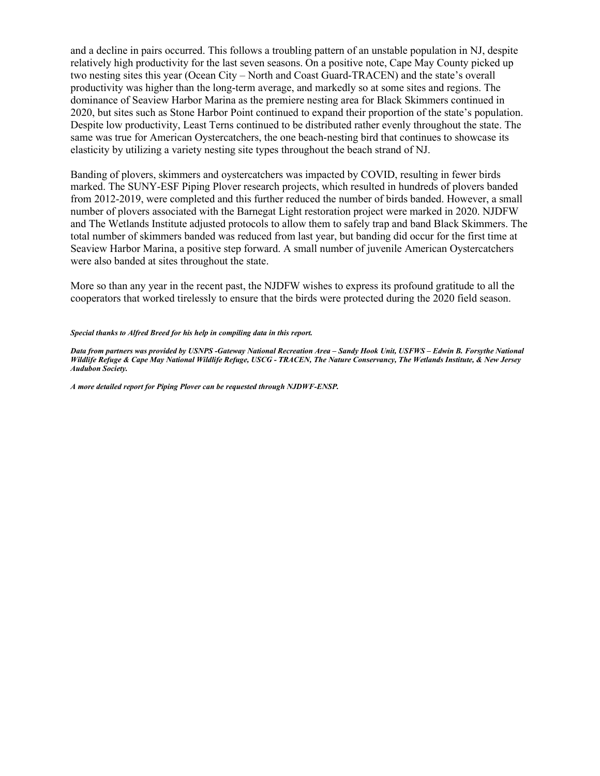and a decline in pairs occurred. This follows a troubling pattern of an unstable population in NJ, despite relatively high productivity for the last seven seasons. On a positive note, Cape May County picked up two nesting sites this year (Ocean City – North and Coast Guard-TRACEN) and the state's overall productivity was higher than the long-term average, and markedly so at some sites and regions. The dominance of Seaview Harbor Marina as the premiere nesting area for Black Skimmers continued in 2020, but sites such as Stone Harbor Point continued to expand their proportion of the state's population. Despite low productivity, Least Terns continued to be distributed rather evenly throughout the state. The same was true for American Oystercatchers, the one beach-nesting bird that continues to showcase its elasticity by utilizing a variety nesting site types throughout the beach strand of NJ.

Banding of plovers, skimmers and oystercatchers was impacted by COVID, resulting in fewer birds marked. The SUNY-ESF Piping Plover research projects, which resulted in hundreds of plovers banded from 2012-2019, were completed and this further reduced the number of birds banded. However, a small number of plovers associated with the Barnegat Light restoration project were marked in 2020. NJDFW and The Wetlands Institute adjusted protocols to allow them to safely trap and band Black Skimmers. The total number of skimmers banded was reduced from last year, but banding did occur for the first time at Seaview Harbor Marina, a positive step forward. A small number of juvenile American Oystercatchers were also banded at sites throughout the state.

More so than any year in the recent past, the NJDFW wishes to express its profound gratitude to all the cooperators that worked tirelessly to ensure that the birds were protected during the 2020 field season.

### *Special thanks to Alfred Breed for his help in compiling data in this report.*

*Data from partners was provided by USNPS -Gateway National Recreation Area – Sandy Hook Unit, USFWS – Edwin B. Forsythe National Wildlife Refuge & Cape May National Wildlife Refuge, USCG - TRACEN, The Nature Conservancy, The Wetlands Institute, & New Jersey Audubon Society.* 

*A more detailed report for Piping Plover can be requested through NJDWF-ENSP.*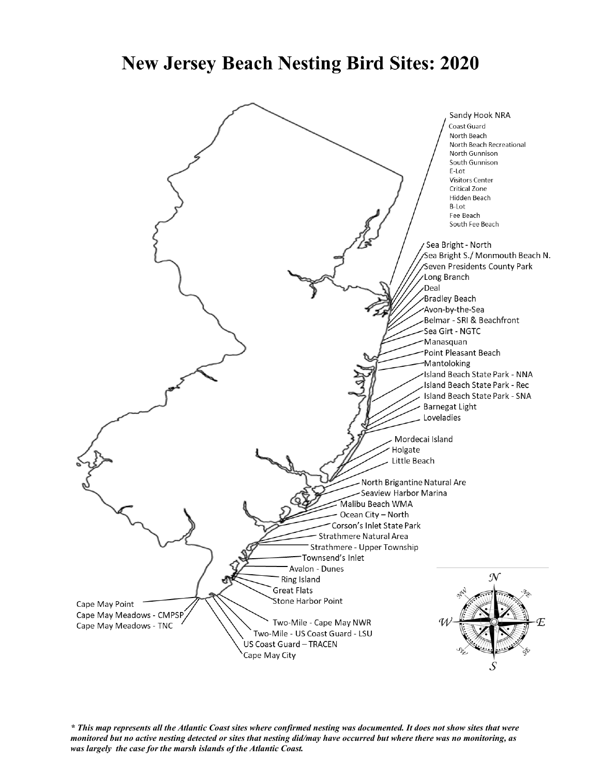# **New Jersey Beach Nesting Bird Sites: 2020**



*\* This map represents all the Atlantic Coast sites where confirmed nesting was documented. It does not show sites that were monitored but no active nesting detected or sites that nesting did/may have occurred but where there was no monitoring, as was largely the case for the marsh islands of the Atlantic Coast.*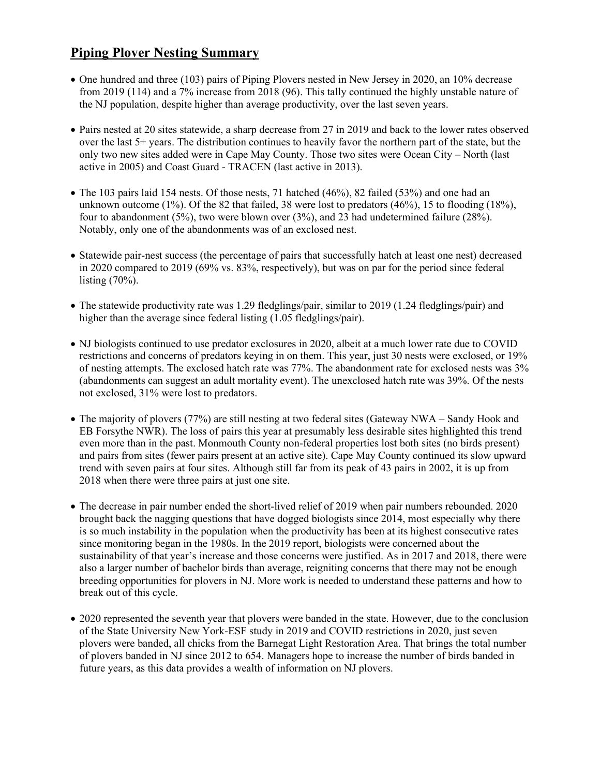# **Piping Plover Nesting Summary**

- One hundred and three (103) pairs of Piping Plovers nested in New Jersey in 2020, an 10% decrease from 2019 (114) and a 7% increase from 2018 (96). This tally continued the highly unstable nature of the NJ population, despite higher than average productivity, over the last seven years.
- Pairs nested at 20 sites statewide, a sharp decrease from 27 in 2019 and back to the lower rates observed over the last 5+ years. The distribution continues to heavily favor the northern part of the state, but the only two new sites added were in Cape May County. Those two sites were Ocean City – North (last active in 2005) and Coast Guard - TRACEN (last active in 2013).
- The 103 pairs laid 154 nests. Of those nests, 71 hatched (46%), 82 failed (53%) and one had an unknown outcome (1%). Of the 82 that failed, 38 were lost to predators (46%), 15 to flooding (18%), four to abandonment (5%), two were blown over (3%), and 23 had undetermined failure (28%). Notably, only one of the abandonments was of an exclosed nest.
- Statewide pair-nest success (the percentage of pairs that successfully hatch at least one nest) decreased in 2020 compared to 2019 (69% vs. 83%, respectively), but was on par for the period since federal listing (70%).
- The statewide productivity rate was 1.29 fledglings/pair, similar to 2019 (1.24 fledglings/pair) and higher than the average since federal listing (1.05 fledglings/pair).
- NJ biologists continued to use predator exclosures in 2020, albeit at a much lower rate due to COVID restrictions and concerns of predators keying in on them. This year, just 30 nests were exclosed, or 19% of nesting attempts. The exclosed hatch rate was 77%. The abandonment rate for exclosed nests was 3% (abandonments can suggest an adult mortality event). The unexclosed hatch rate was 39%. Of the nests not exclosed, 31% were lost to predators.
- The majority of plovers (77%) are still nesting at two federal sites (Gateway NWA Sandy Hook and EB Forsythe NWR). The loss of pairs this year at presumably less desirable sites highlighted this trend even more than in the past. Monmouth County non-federal properties lost both sites (no birds present) and pairs from sites (fewer pairs present at an active site). Cape May County continued its slow upward trend with seven pairs at four sites. Although still far from its peak of 43 pairs in 2002, it is up from 2018 when there were three pairs at just one site.
- The decrease in pair number ended the short-lived relief of 2019 when pair numbers rebounded. 2020 brought back the nagging questions that have dogged biologists since 2014, most especially why there is so much instability in the population when the productivity has been at its highest consecutive rates since monitoring began in the 1980s. In the 2019 report, biologists were concerned about the sustainability of that year's increase and those concerns were justified. As in 2017 and 2018, there were also a larger number of bachelor birds than average, reigniting concerns that there may not be enough breeding opportunities for plovers in NJ. More work is needed to understand these patterns and how to break out of this cycle.
- 2020 represented the seventh year that plovers were banded in the state. However, due to the conclusion of the State University New York-ESF study in 2019 and COVID restrictions in 2020, just seven plovers were banded, all chicks from the Barnegat Light Restoration Area. That brings the total number of plovers banded in NJ since 2012 to 654. Managers hope to increase the number of birds banded in future years, as this data provides a wealth of information on NJ plovers.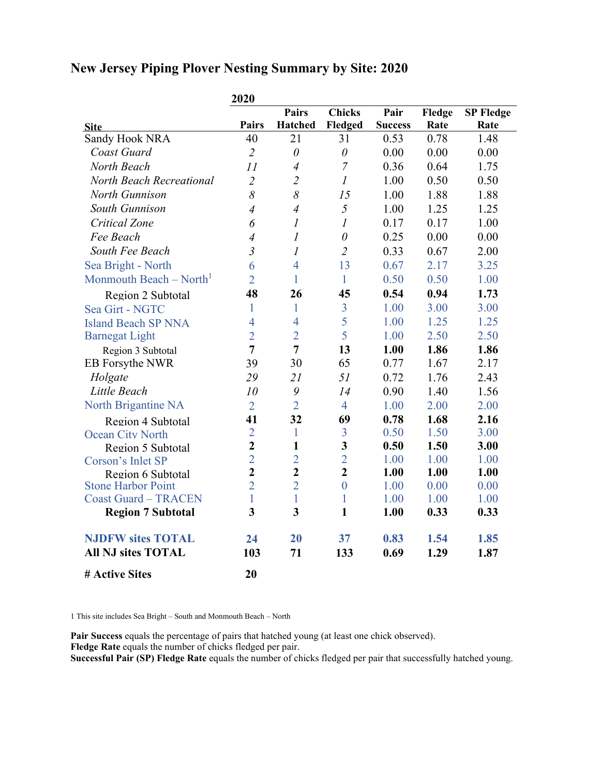# **New Jersey Piping Plover Nesting Summary by Site: 2020**

|                                     | 2020           |                  |                  |                |        |                  |
|-------------------------------------|----------------|------------------|------------------|----------------|--------|------------------|
|                                     |                | <b>Pairs</b>     | <b>Chicks</b>    | Pair           | Fledge | <b>SP Fledge</b> |
| <b>Site</b>                         | <b>Pairs</b>   | <b>Hatched</b>   | Fledged          | <b>Success</b> | Rate   | Rate             |
| Sandy Hook NRA                      | 40             | 21               | 31               | 0.53           | 0.78   | 1.48             |
| Coast Guard                         | $\overline{2}$ | $\theta$         | $\theta$         | 0.00           | 0.00   | 0.00             |
| North Beach                         | 11             | $\overline{4}$   | $\overline{7}$   | 0.36           | 0.64   | 1.75             |
| <b>North Beach Recreational</b>     | $\overline{2}$ | $\overline{2}$   | $\mathcal{I}$    | 1.00           | 0.50   | 0.50             |
| <b>North Gunnison</b>               | 8              | 8                | 15               | 1.00           | 1.88   | 1.88             |
| South Gunnison                      | $\overline{4}$ | $\overline{4}$   | 5                | 1.00           | 1.25   | 1.25             |
| Critical Zone                       | 6              | $\boldsymbol{l}$ | $\boldsymbol{l}$ | 0.17           | 0.17   | 1.00             |
| Fee Beach                           | $\overline{4}$ | $\mathfrak l$    | $\theta$         | 0.25           | 0.00   | 0.00             |
| South Fee Beach                     | $\overline{3}$ | $\mathfrak l$    | $\overline{2}$   | 0.33           | 0.67   | 2.00             |
| Sea Bright - North                  | 6              | $\overline{4}$   | 13               | 0.67           | 2.17   | 3.25             |
| Monmouth Beach – North <sup>1</sup> | $\overline{2}$ | 1                | $\mathbf{1}$     | 0.50           | 0.50   | 1.00             |
| Region 2 Subtotal                   | 48             | 26               | 45               | 0.54           | 0.94   | 1.73             |
| Sea Girt - NGTC                     | 1              | 1                | $\overline{3}$   | 1.00           | 3.00   | 3.00             |
| <b>Island Beach SP NNA</b>          | $\overline{4}$ | $\overline{4}$   | 5                | 1.00           | 1.25   | 1.25             |
| <b>Barnegat Light</b>               | $\overline{2}$ | $\overline{2}$   | 5                | 1.00           | 2.50   | 2.50             |
| Region 3 Subtotal                   | $\overline{7}$ | $\overline{7}$   | 13               | 1.00           | 1.86   | 1.86             |
| EB Forsythe NWR                     | 39             | 30               | 65               | 0.77           | 1.67   | 2.17             |
| Holgate                             | 29             | 21               | 51               | 0.72           | 1.76   | 2.43             |
| Little Beach                        | 10             | 9                | 14               | 0.90           | 1.40   | 1.56             |
| North Brigantine NA                 | $\overline{2}$ | $\overline{2}$   | $\overline{4}$   | 1.00           | 2.00   | 2.00             |
| Region 4 Subtotal                   | 41             | 32               | 69               | 0.78           | 1.68   | 2.16             |
| <b>Ocean City North</b>             | $\overline{2}$ | 1                | 3                | 0.50           | 1.50   | 3.00             |
| Region 5 Subtotal                   | $\overline{2}$ | $\mathbf{1}$     | $\mathbf{3}$     | 0.50           | 1.50   | 3.00             |
| Corson's Inlet SP                   | $\overline{2}$ | $\overline{2}$   | $\overline{2}$   | 1.00           | 1.00   | 1.00             |
| Region 6 Subtotal                   | $\overline{2}$ | $\overline{2}$   | $\overline{2}$   | 1.00           | 1.00   | 1.00             |
| <b>Stone Harbor Point</b>           | $\overline{2}$ | $\overline{2}$   | $\overline{0}$   | 1.00           | 0.00   | 0.00             |
| <b>Coast Guard - TRACEN</b>         | $\mathbf{1}$   | $\mathbf{1}$     | $\mathbf{1}$     | 1.00           | 1.00   | 1.00             |
| <b>Region 7 Subtotal</b>            | 3              | 3                | $\mathbf{1}$     | 1.00           | 0.33   | 0.33             |
| <b>NJDFW sites TOTAL</b>            | 24             | 20               | 37               | 0.83           | 1.54   | 1.85             |
| <b>All NJ sites TOTAL</b>           | 103            | 71               | 133              | 0.69           | 1.29   | 1.87             |
| # Active Sites                      | 20             |                  |                  |                |        |                  |

1 This site includes Sea Bright – South and Monmouth Beach – North

**Pair Success** equals the percentage of pairs that hatched young (at least one chick observed). **Fledge Rate** equals the number of chicks fledged per pair.

**Successful Pair (SP) Fledge Rate** equals the number of chicks fledged per pair that successfully hatched young.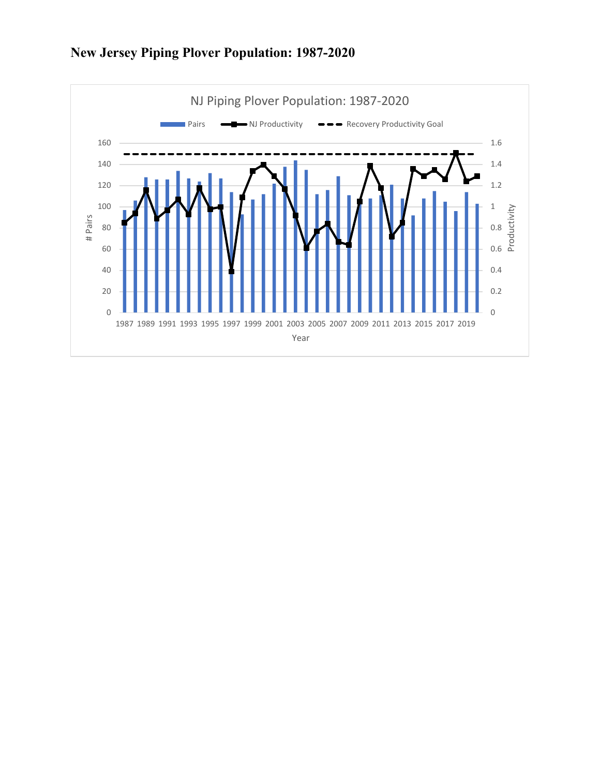

# **New Jersey Piping Plover Population: 1987-2020**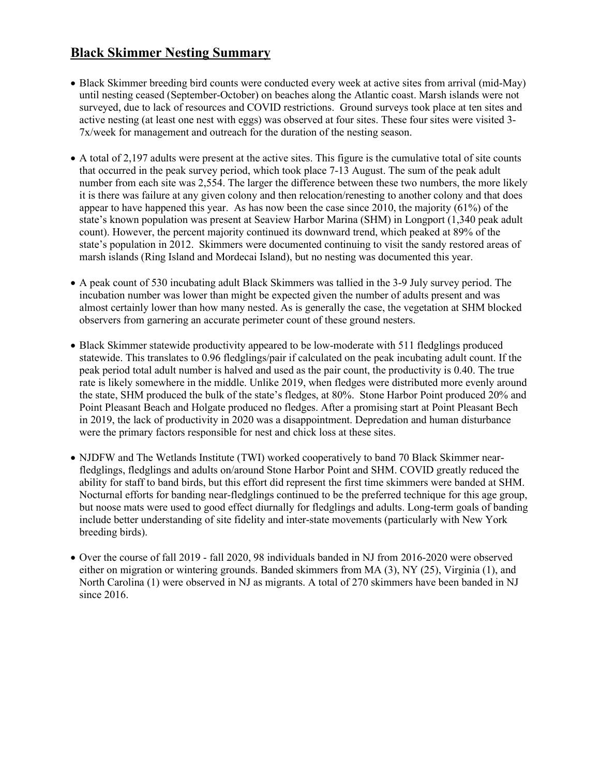# **Black Skimmer Nesting Summary**

- Black Skimmer breeding bird counts were conducted every week at active sites from arrival (mid-May) until nesting ceased (September-October) on beaches along the Atlantic coast. Marsh islands were not surveyed, due to lack of resources and COVID restrictions. Ground surveys took place at ten sites and active nesting (at least one nest with eggs) was observed at four sites. These four sites were visited 3- 7x/week for management and outreach for the duration of the nesting season.
- A total of 2,197 adults were present at the active sites. This figure is the cumulative total of site counts that occurred in the peak survey period, which took place 7-13 August. The sum of the peak adult number from each site was 2,554. The larger the difference between these two numbers, the more likely it is there was failure at any given colony and then relocation/renesting to another colony and that does appear to have happened this year. As has now been the case since 2010, the majority (61%) of the state's known population was present at Seaview Harbor Marina (SHM) in Longport (1,340 peak adult count). However, the percent majority continued its downward trend, which peaked at 89% of the state's population in 2012. Skimmers were documented continuing to visit the sandy restored areas of marsh islands (Ring Island and Mordecai Island), but no nesting was documented this year.
- A peak count of 530 incubating adult Black Skimmers was tallied in the 3-9 July survey period. The incubation number was lower than might be expected given the number of adults present and was almost certainly lower than how many nested. As is generally the case, the vegetation at SHM blocked observers from garnering an accurate perimeter count of these ground nesters.
- Black Skimmer statewide productivity appeared to be low-moderate with 511 fledglings produced statewide. This translates to 0.96 fledglings/pair if calculated on the peak incubating adult count. If the peak period total adult number is halved and used as the pair count, the productivity is 0.40. The true rate is likely somewhere in the middle. Unlike 2019, when fledges were distributed more evenly around the state, SHM produced the bulk of the state's fledges, at 80%. Stone Harbor Point produced 20% and Point Pleasant Beach and Holgate produced no fledges. After a promising start at Point Pleasant Bech in 2019, the lack of productivity in 2020 was a disappointment. Depredation and human disturbance were the primary factors responsible for nest and chick loss at these sites.
- NJDFW and The Wetlands Institute (TWI) worked cooperatively to band 70 Black Skimmer nearfledglings, fledglings and adults on/around Stone Harbor Point and SHM. COVID greatly reduced the ability for staff to band birds, but this effort did represent the first time skimmers were banded at SHM. Nocturnal efforts for banding near-fledglings continued to be the preferred technique for this age group, but noose mats were used to good effect diurnally for fledglings and adults. Long-term goals of banding include better understanding of site fidelity and inter-state movements (particularly with New York breeding birds).
- Over the course of fall 2019 fall 2020, 98 individuals banded in NJ from 2016-2020 were observed either on migration or wintering grounds. Banded skimmers from MA (3), NY (25), Virginia (1), and North Carolina (1) were observed in NJ as migrants. A total of 270 skimmers have been banded in NJ since 2016.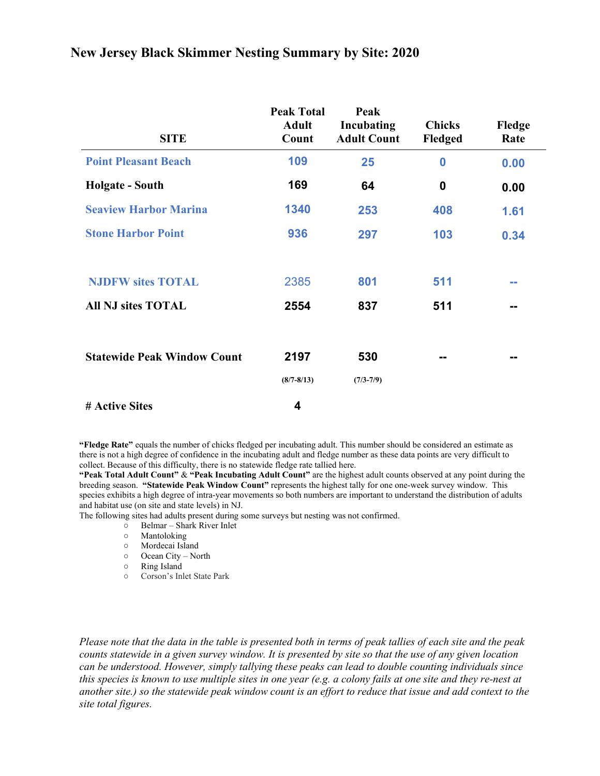| <b>SITE</b>                        | <b>Peak Total</b><br><b>Adult</b><br>Count | Peak<br>Incubating<br><b>Adult Count</b> | <b>Chicks</b><br>Fledged | Fledge<br>Rate |
|------------------------------------|--------------------------------------------|------------------------------------------|--------------------------|----------------|
| <b>Point Pleasant Beach</b>        | 109                                        | 25                                       | $\bf{0}$                 | 0.00           |
| <b>Holgate - South</b>             | 169                                        | 64                                       | 0                        | 0.00           |
| <b>Seaview Harbor Marina</b>       | 1340                                       | 253                                      | 408                      | 1.61           |
| <b>Stone Harbor Point</b>          | 936                                        | 297                                      | 103                      | 0.34           |
|                                    |                                            |                                          |                          |                |
| <b>NJDFW sites TOTAL</b>           | 2385                                       | 801                                      | 511                      | --             |
| <b>All NJ sites TOTAL</b>          | 2554                                       | 837                                      | 511                      | --             |
|                                    |                                            |                                          |                          |                |
| <b>Statewide Peak Window Count</b> | 2197                                       | 530                                      | --                       | --             |
|                                    | $(8/7 - 8/13)$                             | $(7/3 - 7/9)$                            |                          |                |
| # Active Sites                     | 4                                          |                                          |                          |                |

### **New Jersey Black Skimmer Nesting Summary by Site: 2020**

**"Fledge Rate"** equals the number of chicks fledged per incubating adult. This number should be considered an estimate as there is not a high degree of confidence in the incubating adult and fledge number as these data points are very difficult to collect. Because of this difficulty, there is no statewide fledge rate tallied here.

**"Peak Total Adult Count"** & **"Peak Incubating Adult Count"** are the highest adult counts observed at any point during the breeding season. **"Statewide Peak Window Count"** represents the highest tally for one one-week survey window. This species exhibits a high degree of intra-year movements so both numbers are important to understand the distribution of adults and habitat use (on site and state levels) in NJ.

The following sites had adults present during some surveys but nesting was not confirmed.

- Belmar Shark River Inlet
- Mantoloking
- Mordecai Island
- Ocean City North
- Ring Island
- Corson's Inlet State Park

*Please note that the data in the table is presented both in terms of peak tallies of each site and the peak counts statewide in a given survey window. It is presented by site so that the use of any given location can be understood. However, simply tallying these peaks can lead to double counting individuals since this species is known to use multiple sites in one year (e.g. a colony fails at one site and they re-nest at another site.) so the statewide peak window count is an effort to reduce that issue and add context to the site total figures.*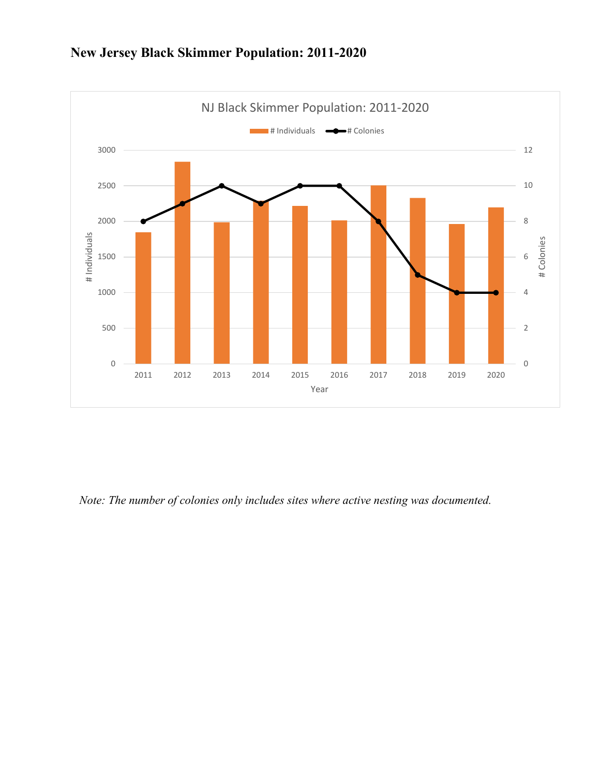

# **New Jersey Black Skimmer Population: 2011-2020**

*Note: The number of colonies only includes sites where active nesting was documented.*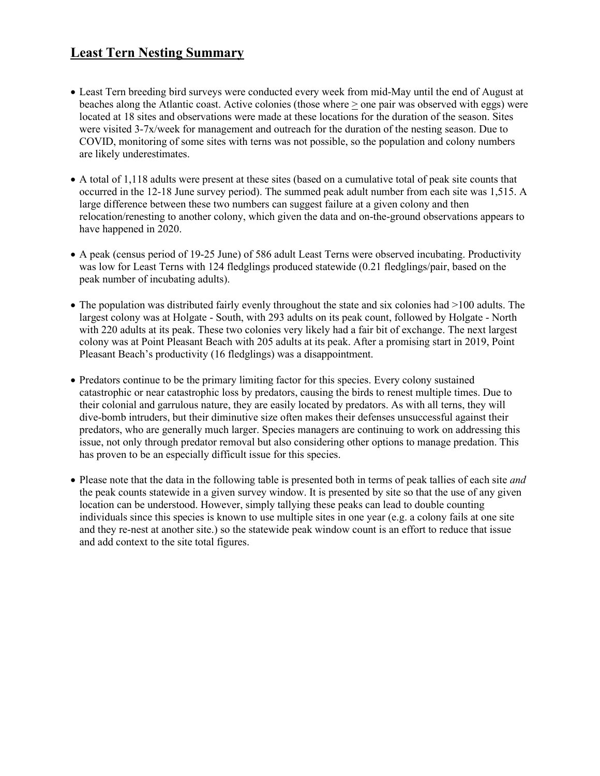## **Least Tern Nesting Summary**

- Least Tern breeding bird surveys were conducted every week from mid-May until the end of August at beaches along the Atlantic coast. Active colonies (those where > one pair was observed with eggs) were located at 18 sites and observations were made at these locations for the duration of the season. Sites were visited 3-7x/week for management and outreach for the duration of the nesting season. Due to COVID, monitoring of some sites with terns was not possible, so the population and colony numbers are likely underestimates.
- A total of 1,118 adults were present at these sites (based on a cumulative total of peak site counts that occurred in the 12-18 June survey period). The summed peak adult number from each site was 1,515. A large difference between these two numbers can suggest failure at a given colony and then relocation/renesting to another colony, which given the data and on-the-ground observations appears to have happened in 2020.
- A peak (census period of 19-25 June) of 586 adult Least Terns were observed incubating. Productivity was low for Least Terns with 124 fledglings produced statewide (0.21 fledglings/pair, based on the peak number of incubating adults).
- The population was distributed fairly evenly throughout the state and six colonies had  $>100$  adults. The largest colony was at Holgate - South, with 293 adults on its peak count, followed by Holgate - North with 220 adults at its peak. These two colonies very likely had a fair bit of exchange. The next largest colony was at Point Pleasant Beach with 205 adults at its peak. After a promising start in 2019, Point Pleasant Beach's productivity (16 fledglings) was a disappointment.
- Predators continue to be the primary limiting factor for this species. Every colony sustained catastrophic or near catastrophic loss by predators, causing the birds to renest multiple times. Due to their colonial and garrulous nature, they are easily located by predators. As with all terns, they will dive-bomb intruders, but their diminutive size often makes their defenses unsuccessful against their predators, who are generally much larger. Species managers are continuing to work on addressing this issue, not only through predator removal but also considering other options to manage predation. This has proven to be an especially difficult issue for this species.
- Please note that the data in the following table is presented both in terms of peak tallies of each site *and* the peak counts statewide in a given survey window. It is presented by site so that the use of any given location can be understood. However, simply tallying these peaks can lead to double counting individuals since this species is known to use multiple sites in one year (e.g. a colony fails at one site and they re-nest at another site.) so the statewide peak window count is an effort to reduce that issue and add context to the site total figures.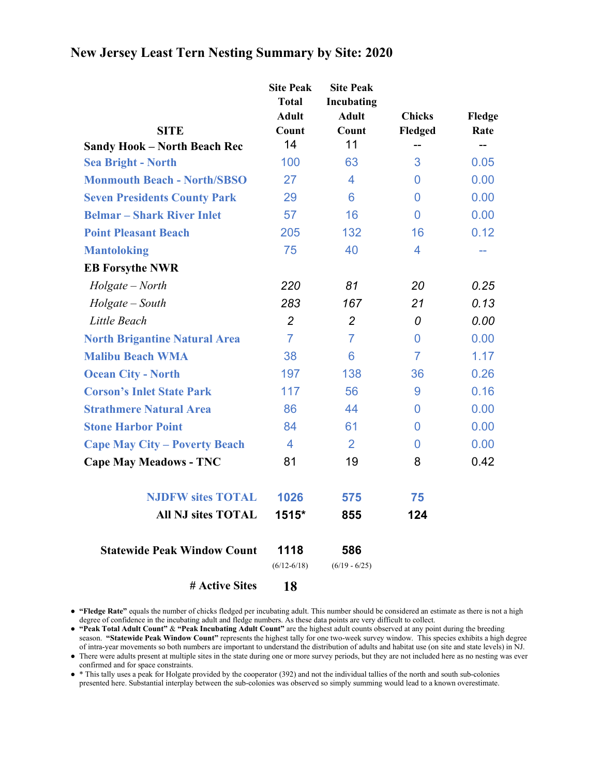|                                                                  | <b>Site Peak</b><br><b>Total</b><br><b>Adult</b> | <b>Site Peak</b><br>Incubating<br><b>Adult</b> | <b>Chicks</b>  | Fledge |
|------------------------------------------------------------------|--------------------------------------------------|------------------------------------------------|----------------|--------|
| <b>SITE</b>                                                      | Count<br>14                                      | Count<br>11                                    | Fledged        | Rate   |
| <b>Sandy Hook - North Beach Rec</b><br><b>Sea Bright - North</b> | 100                                              | 63                                             | 3              | 0.05   |
| <b>Monmouth Beach - North/SBSO</b>                               | 27                                               | 4                                              | 0              | 0.00   |
| <b>Seven Presidents County Park</b>                              | 29                                               | 6                                              | 0              | 0.00   |
| <b>Belmar – Shark River Inlet</b>                                | 57                                               | 16                                             | $\overline{0}$ | 0.00   |
| <b>Point Pleasant Beach</b>                                      | 205                                              | 132                                            | 16             | 0.12   |
| <b>Mantoloking</b>                                               | 75                                               | 40                                             | 4              | --     |
| <b>EB Forsythe NWR</b>                                           |                                                  |                                                |                |        |
| $Holgate - North$                                                | 220                                              | 81                                             | 20             | 0.25   |
| $Holgate - South$                                                | 283                                              | 167                                            | 21             | 0.13   |
| Little Beach                                                     | $\overline{2}$                                   | $\overline{2}$                                 | 0              | 0.00   |
| <b>North Brigantine Natural Area</b>                             | $\overline{7}$                                   | $\overline{7}$                                 | 0              | 0.00   |
| <b>Malibu Beach WMA</b>                                          | 38                                               | 6                                              | $\overline{7}$ | 1.17   |
| <b>Ocean City - North</b>                                        | 197                                              | 138                                            | 36             | 0.26   |
| <b>Corson's Inlet State Park</b>                                 | 117                                              | 56                                             | 9              | 0.16   |
| <b>Strathmere Natural Area</b>                                   | 86                                               | 44                                             | 0              | 0.00   |
| <b>Stone Harbor Point</b>                                        | 84                                               | 61                                             | 0              | 0.00   |
| <b>Cape May City - Poverty Beach</b>                             | 4                                                | 2                                              | 0              | 0.00   |
| <b>Cape May Meadows - TNC</b>                                    | 81                                               | 19                                             | 8              | 0.42   |
| <b>NJDFW sites TOTAL</b>                                         | 1026                                             | 575                                            | 75             |        |
| <b>All NJ sites TOTAL</b>                                        | 1515*                                            | 855                                            | 124            |        |
| <b>Statewide Peak Window Count</b>                               | 1118<br>$(6/12 - 6/18)$                          | 586<br>$(6/19 - 6/25)$                         |                |        |
| # Active Sites                                                   | 18                                               |                                                |                |        |

## **New Jersey Least Tern Nesting Summary by Site: 2020**

● **"Fledge Rate"** equals the number of chicks fledged per incubating adult. This number should be considered an estimate as there is not a high degree of confidence in the incubating adult and fledge numbers. As these data points are very difficult to collect.

● **"Peak Total Adult Count"** & **"Peak Incubating Adult Count"** are the highest adult counts observed at any point during the breeding season. **"Statewide Peak Window Count"** represents the highest tally for one two-week survey window. This species exhibits a high degree of intra-year movements so both numbers are important to understand the distribution of adults and habitat use (on site and state levels) in NJ.

● There were adults present at multiple sites in the state during one or more survey periods, but they are not included here as no nesting was ever confirmed and for space constraints.

● \* This tally uses a peak for Holgate provided by the cooperator (392) and not the individual tallies of the north and south sub-colonies presented here. Substantial interplay between the sub-colonies was observed so simply summing would lead to a known overestimate.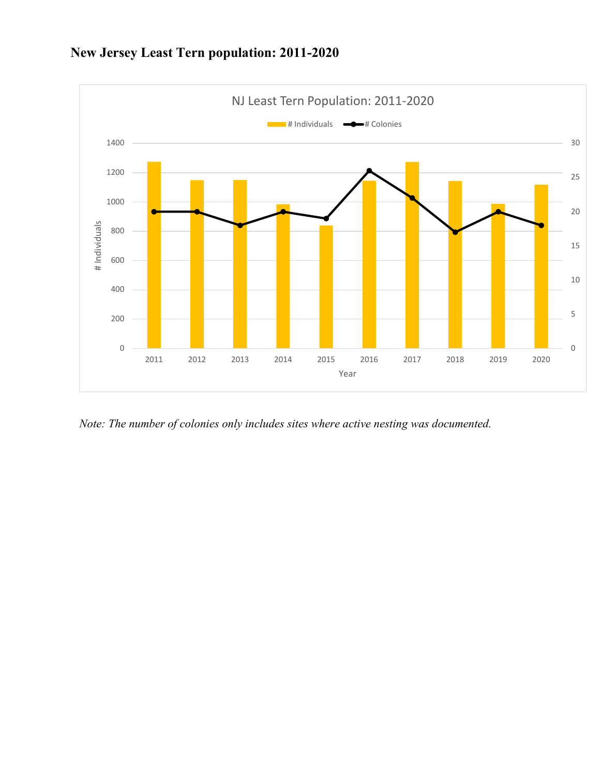

# **New Jersey Least Tern population: 2011-2020**

*Note: The number of colonies only includes sites where active nesting was documented.*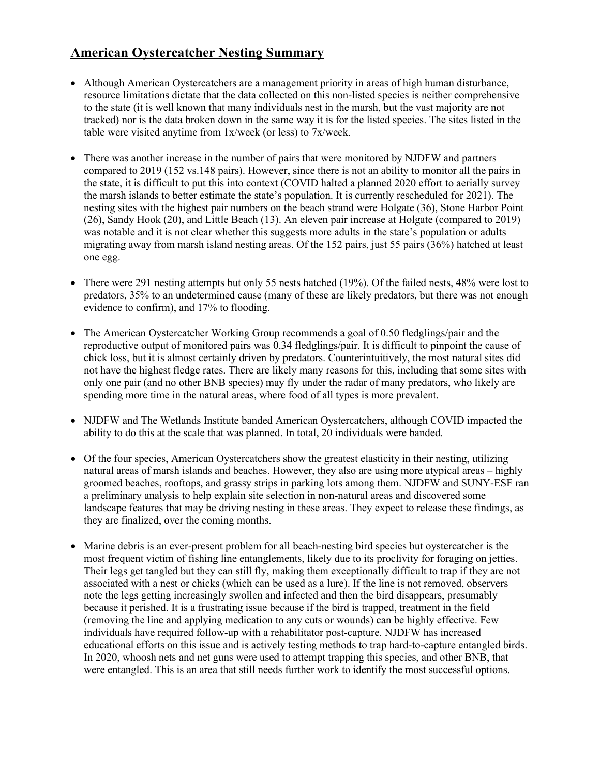### **American Oystercatcher Nesting Summary**

- Although American Oystercatchers are a management priority in areas of high human disturbance, resource limitations dictate that the data collected on this non-listed species is neither comprehensive to the state (it is well known that many individuals nest in the marsh, but the vast majority are not tracked) nor is the data broken down in the same way it is for the listed species. The sites listed in the table were visited anytime from 1x/week (or less) to 7x/week.
- There was another increase in the number of pairs that were monitored by NJDFW and partners compared to 2019 (152 vs.148 pairs). However, since there is not an ability to monitor all the pairs in the state, it is difficult to put this into context (COVID halted a planned 2020 effort to aerially survey the marsh islands to better estimate the state's population. It is currently rescheduled for 2021). The nesting sites with the highest pair numbers on the beach strand were Holgate (36), Stone Harbor Point (26), Sandy Hook (20), and Little Beach (13). An eleven pair increase at Holgate (compared to 2019) was notable and it is not clear whether this suggests more adults in the state's population or adults migrating away from marsh island nesting areas. Of the 152 pairs, just 55 pairs (36%) hatched at least one egg.
- There were 291 nesting attempts but only 55 nests hatched (19%). Of the failed nests, 48% were lost to predators, 35% to an undetermined cause (many of these are likely predators, but there was not enough evidence to confirm), and 17% to flooding.
- The American Oystercatcher Working Group recommends a goal of 0.50 fledglings/pair and the reproductive output of monitored pairs was 0.34 fledglings/pair. It is difficult to pinpoint the cause of chick loss, but it is almost certainly driven by predators. Counterintuitively, the most natural sites did not have the highest fledge rates. There are likely many reasons for this, including that some sites with only one pair (and no other BNB species) may fly under the radar of many predators, who likely are spending more time in the natural areas, where food of all types is more prevalent.
- NJDFW and The Wetlands Institute banded American Oystercatchers, although COVID impacted the ability to do this at the scale that was planned. In total, 20 individuals were banded.
- Of the four species, American Oystercatchers show the greatest elasticity in their nesting, utilizing natural areas of marsh islands and beaches. However, they also are using more atypical areas – highly groomed beaches, rooftops, and grassy strips in parking lots among them. NJDFW and SUNY-ESF ran a preliminary analysis to help explain site selection in non-natural areas and discovered some landscape features that may be driving nesting in these areas. They expect to release these findings, as they are finalized, over the coming months.
- Marine debris is an ever-present problem for all beach-nesting bird species but oystercatcher is the most frequent victim of fishing line entanglements, likely due to its proclivity for foraging on jetties. Their legs get tangled but they can still fly, making them exceptionally difficult to trap if they are not associated with a nest or chicks (which can be used as a lure). If the line is not removed, observers note the legs getting increasingly swollen and infected and then the bird disappears, presumably because it perished. It is a frustrating issue because if the bird is trapped, treatment in the field (removing the line and applying medication to any cuts or wounds) can be highly effective. Few individuals have required follow-up with a rehabilitator post-capture. NJDFW has increased educational efforts on this issue and is actively testing methods to trap hard-to-capture entangled birds. In 2020, whoosh nets and net guns were used to attempt trapping this species, and other BNB, that were entangled. This is an area that still needs further work to identify the most successful options.